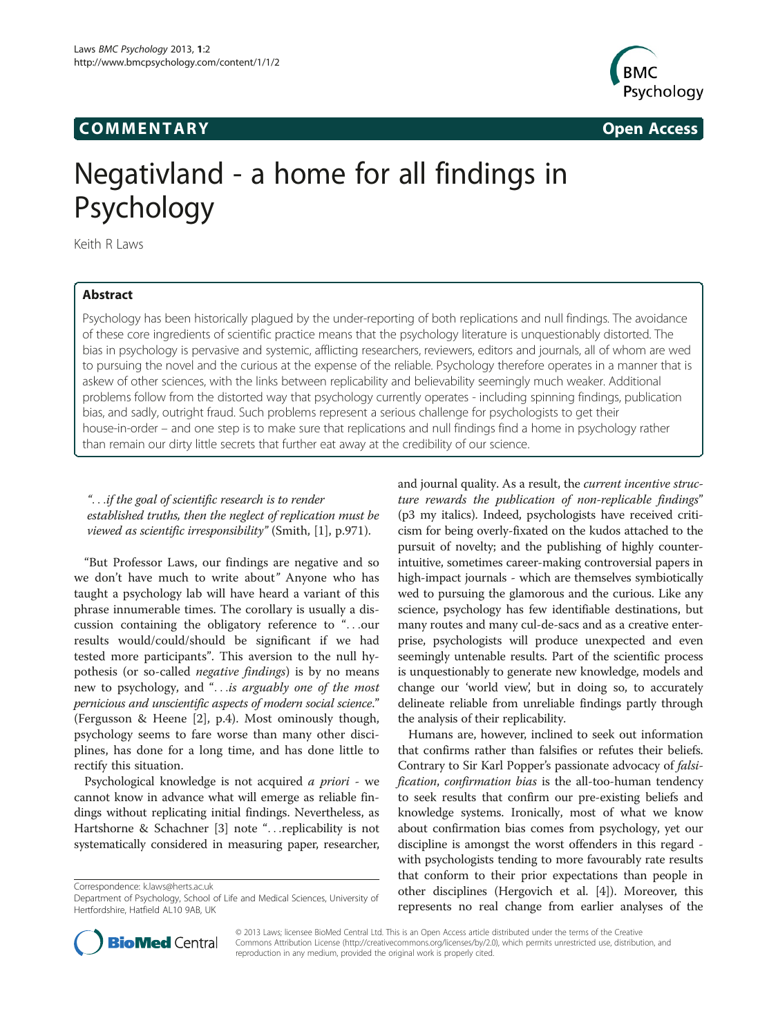## **COMMENTARY COMMENTARY Open Access**



# Negativland - a home for all findings in Psychology

Keith R Laws

## Abstract

Psychology has been historically plagued by the under-reporting of both replications and null findings. The avoidance of these core ingredients of scientific practice means that the psychology literature is unquestionably distorted. The bias in psychology is pervasive and systemic, afflicting researchers, reviewers, editors and journals, all of whom are wed to pursuing the novel and the curious at the expense of the reliable. Psychology therefore operates in a manner that is askew of other sciences, with the links between replicability and believability seemingly much weaker. Additional problems follow from the distorted way that psychology currently operates - including spinning findings, publication bias, and sadly, outright fraud. Such problems represent a serious challenge for psychologists to get their house-in-order – and one step is to make sure that replications and null findings find a home in psychology rather than remain our dirty little secrets that further eat away at the credibility of our science.

"...if the goal of scientific research is to render established truths, then the neglect of replication must be viewed as scientific irresponsibility" (Smith, [[1\]](#page-6-0), p.971).

"But Professor Laws, our findings are negative and so we don't have much to write about" Anyone who has taught a psychology lab will have heard a variant of this phrase innumerable times. The corollary is usually a discussion containing the obligatory reference to "...our results would/could/should be significant if we had tested more participants". This aversion to the null hypothesis (or so-called negative findings) is by no means new to psychology, and "...is arguably one of the most pernicious and unscientific aspects of modern social science." (Fergusson & Heene [[2\]](#page-6-0), p.4). Most ominously though, psychology seems to fare worse than many other disciplines, has done for a long time, and has done little to rectify this situation.

Psychological knowledge is not acquired a priori - we cannot know in advance what will emerge as reliable findings without replicating initial findings. Nevertheless, as Hartshorne & Schachner [\[3\]](#page-6-0) note "...replicability is not systematically considered in measuring paper, researcher,

Correspondence: [k.laws@herts.ac.uk](mailto:k.laws@herts.ac.uk)

and journal quality. As a result, the current incentive structure rewards the publication of non-replicable findings" (p3 my italics). Indeed, psychologists have received criticism for being overly-fixated on the kudos attached to the pursuit of novelty; and the publishing of highly counterintuitive, sometimes career-making controversial papers in high-impact journals - which are themselves symbiotically wed to pursuing the glamorous and the curious. Like any science, psychology has few identifiable destinations, but many routes and many cul-de-sacs and as a creative enterprise, psychologists will produce unexpected and even seemingly untenable results. Part of the scientific process is unquestionably to generate new knowledge, models and change our 'world view', but in doing so, to accurately delineate reliable from unreliable findings partly through the analysis of their replicability.

Humans are, however, inclined to seek out information that confirms rather than falsifies or refutes their beliefs. Contrary to Sir Karl Popper's passionate advocacy of falsification, confirmation bias is the all-too-human tendency to seek results that confirm our pre-existing beliefs and knowledge systems. Ironically, most of what we know about confirmation bias comes from psychology, yet our discipline is amongst the worst offenders in this regard with psychologists tending to more favourably rate results that conform to their prior expectations than people in other disciplines (Hergovich et al. [\[4](#page-6-0)]). Moreover, this represents no real change from earlier analyses of the



© 2013 Laws; licensee BioMed Central Ltd. This is an Open Access article distributed under the terms of the Creative Commons Attribution License [\(http://creativecommons.org/licenses/by/2.0\)](http://creativecommons.org/licenses/by/2.0), which permits unrestricted use, distribution, and reproduction in any medium, provided the original work is properly cited.

Department of Psychology, School of Life and Medical Sciences, University of Hertfordshire, Hatfield AL10 9AB, UK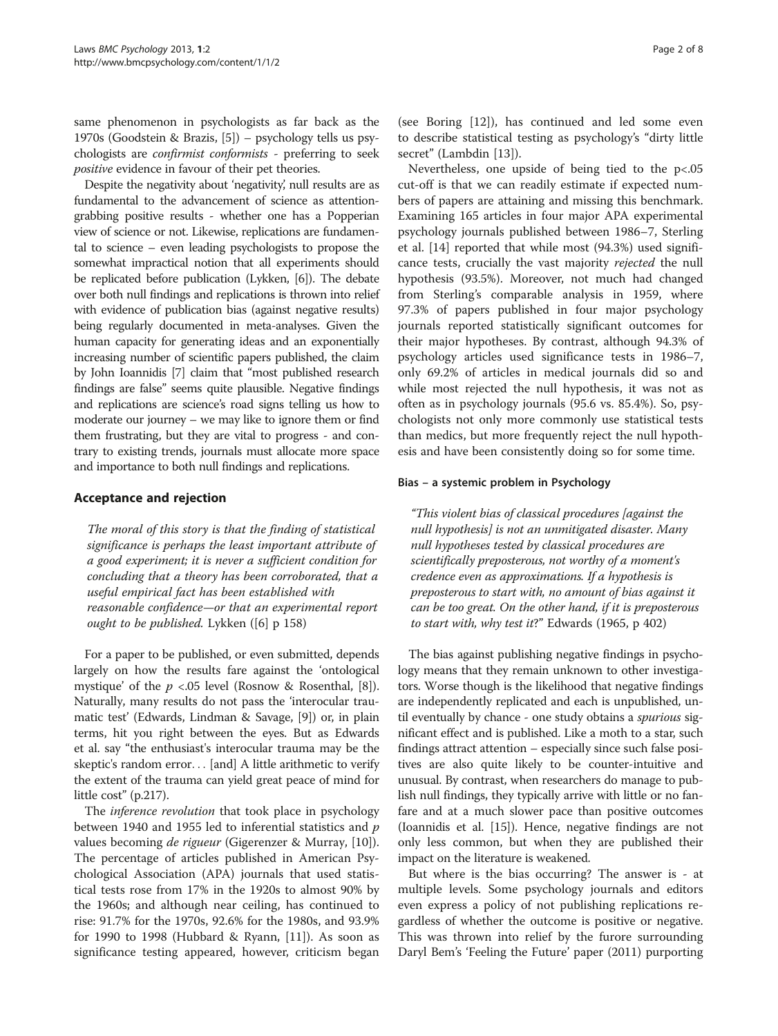same phenomenon in psychologists as far back as the 1970s (Goodstein & Brazis, [[5](#page-6-0)]) – psychology tells us psychologists are confirmist conformists - preferring to seek positive evidence in favour of their pet theories.

Despite the negativity about 'negativity', null results are as fundamental to the advancement of science as attentiongrabbing positive results - whether one has a Popperian view of science or not. Likewise, replications are fundamental to science – even leading psychologists to propose the somewhat impractical notion that all experiments should be replicated before publication (Lykken, [[6](#page-6-0)]). The debate over both null findings and replications is thrown into relief with evidence of publication bias (against negative results) being regularly documented in meta-analyses. Given the human capacity for generating ideas and an exponentially increasing number of scientific papers published, the claim by John Ioannidis [\[7\]](#page-6-0) claim that "most published research findings are false" seems quite plausible. Negative findings and replications are science's road signs telling us how to moderate our journey – we may like to ignore them or find them frustrating, but they are vital to progress - and contrary to existing trends, journals must allocate more space and importance to both null findings and replications.

### Acceptance and rejection

The moral of this story is that the finding of statistical significance is perhaps the least important attribute of a good experiment; it is never a sufficient condition for concluding that a theory has been corroborated, that a useful empirical fact has been established with reasonable confidence—or that an experimental report ought to be published. Lykken ([[6\]](#page-6-0) p 158)

For a paper to be published, or even submitted, depends largely on how the results fare against the 'ontological mystique' of the  $p \le 05$  level (Rosnow & Rosenthal, [\[8](#page-6-0)]). Naturally, many results do not pass the 'interocular traumatic test' (Edwards, Lindman & Savage, [\[9](#page-6-0)]) or, in plain terms, hit you right between the eyes. But as Edwards et al. say "the enthusiast's interocular trauma may be the skeptic's random error... [and] A little arithmetic to verify the extent of the trauma can yield great peace of mind for little cost" (p.217).

The *inference revolution* that took place in psychology between 1940 and 1955 led to inferential statistics and  $p$ values becoming de rigueur (Gigerenzer & Murray, [\[10](#page-6-0)]). The percentage of articles published in American Psychological Association (APA) journals that used statistical tests rose from 17% in the 1920s to almost 90% by the 1960s; and although near ceiling, has continued to rise: 91.7% for the 1970s, 92.6% for the 1980s, and 93.9% for 1990 to 1998 (Hubbard & Ryann, [[11](#page-7-0)]). As soon as significance testing appeared, however, criticism began

(see Boring [[12\]](#page-7-0)), has continued and led some even to describe statistical testing as psychology's "dirty little secret" (Lambdin [\[13\]](#page-7-0)).

Nevertheless, one upside of being tied to the p<.05 cut-off is that we can readily estimate if expected numbers of papers are attaining and missing this benchmark. Examining 165 articles in four major APA experimental psychology journals published between 1986–7, Sterling et al. [[14](#page-7-0)] reported that while most (94.3%) used significance tests, crucially the vast majority rejected the null hypothesis (93.5%). Moreover, not much had changed from Sterling's comparable analysis in 1959, where 97.3% of papers published in four major psychology journals reported statistically significant outcomes for their major hypotheses. By contrast, although 94.3% of psychology articles used significance tests in 1986–7, only 69.2% of articles in medical journals did so and while most rejected the null hypothesis, it was not as often as in psychology journals (95.6 vs. 85.4%). So, psychologists not only more commonly use statistical tests than medics, but more frequently reject the null hypothesis and have been consistently doing so for some time.

#### Bias – a systemic problem in Psychology

"This violent bias of classical procedures [against the null hypothesis] is not an unmitigated disaster. Many null hypotheses tested by classical procedures are scientifically preposterous, not worthy of a moment's credence even as approximations. If a hypothesis is preposterous to start with, no amount of bias against it can be too great. On the other hand, if it is preposterous to start with, why test it?" Edwards (1965, p 402)

The bias against publishing negative findings in psychology means that they remain unknown to other investigators. Worse though is the likelihood that negative findings are independently replicated and each is unpublished, until eventually by chance - one study obtains a *spurious* significant effect and is published. Like a moth to a star, such findings attract attention – especially since such false positives are also quite likely to be counter-intuitive and unusual. By contrast, when researchers do manage to publish null findings, they typically arrive with little or no fanfare and at a much slower pace than positive outcomes (Ioannidis et al. [\[15](#page-7-0)]). Hence, negative findings are not only less common, but when they are published their impact on the literature is weakened.

But where is the bias occurring? The answer is - at multiple levels. Some psychology journals and editors even express a policy of not publishing replications regardless of whether the outcome is positive or negative. This was thrown into relief by the furore surrounding Daryl Bem's 'Feeling the Future' paper (2011) purporting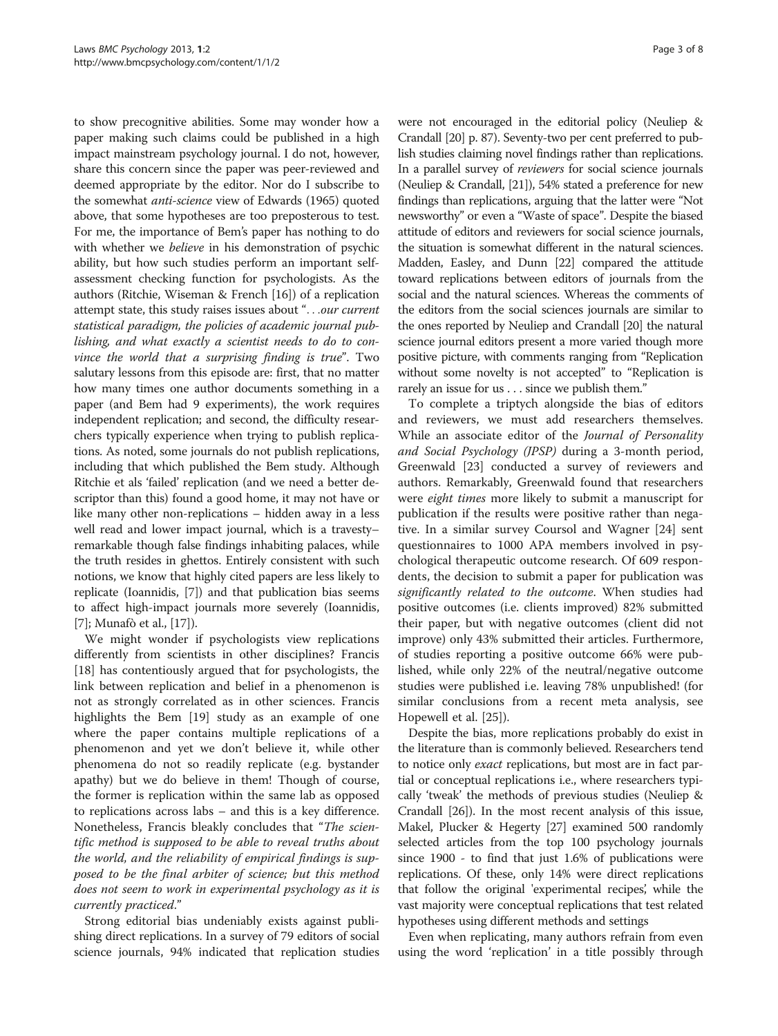to show precognitive abilities. Some may wonder how a paper making such claims could be published in a high impact mainstream psychology journal. I do not, however, share this concern since the paper was peer-reviewed and deemed appropriate by the editor. Nor do I subscribe to the somewhat anti-science view of Edwards (1965) quoted above, that some hypotheses are too preposterous to test. For me, the importance of Bem's paper has nothing to do with whether we believe in his demonstration of psychic ability, but how such studies perform an important selfassessment checking function for psychologists. As the authors (Ritchie, Wiseman & French [\[16\]](#page-7-0)) of a replication attempt state, this study raises issues about "...our current statistical paradigm, the policies of academic journal publishing, and what exactly a scientist needs to do to convince the world that a surprising finding is true". Two salutary lessons from this episode are: first, that no matter how many times one author documents something in a paper (and Bem had 9 experiments), the work requires independent replication; and second, the difficulty researchers typically experience when trying to publish replications. As noted, some journals do not publish replications, including that which published the Bem study. Although Ritchie et als 'failed' replication (and we need a better descriptor than this) found a good home, it may not have or like many other non-replications – hidden away in a less well read and lower impact journal, which is a travesty– remarkable though false findings inhabiting palaces, while the truth resides in ghettos. Entirely consistent with such notions, we know that highly cited papers are less likely to replicate (Ioannidis, [\[7](#page-6-0)]) and that publication bias seems to affect high-impact journals more severely (Ioannidis, [[7\]](#page-6-0); Munafò et al., [\[17\]](#page-7-0)).

We might wonder if psychologists view replications differently from scientists in other disciplines? Francis [[18\]](#page-7-0) has contentiously argued that for psychologists, the link between replication and belief in a phenomenon is not as strongly correlated as in other sciences. Francis highlights the Bem [[19\]](#page-7-0) study as an example of one where the paper contains multiple replications of a phenomenon and yet we don't believe it, while other phenomena do not so readily replicate (e.g. bystander apathy) but we do believe in them! Though of course, the former is replication within the same lab as opposed to replications across labs – and this is a key difference. Nonetheless, Francis bleakly concludes that "The scientific method is supposed to be able to reveal truths about the world, and the reliability of empirical findings is supposed to be the final arbiter of science; but this method does not seem to work in experimental psychology as it is currently practiced."

Strong editorial bias undeniably exists against publishing direct replications. In a survey of 79 editors of social science journals, 94% indicated that replication studies

were not encouraged in the editorial policy (Neuliep & Crandall [[20](#page-7-0)] p. 87). Seventy-two per cent preferred to publish studies claiming novel findings rather than replications. In a parallel survey of reviewers for social science journals (Neuliep & Crandall, [\[21\]](#page-7-0)), 54% stated a preference for new findings than replications, arguing that the latter were "Not newsworthy" or even a "Waste of space". Despite the biased attitude of editors and reviewers for social science journals, the situation is somewhat different in the natural sciences. Madden, Easley, and Dunn [[22](#page-7-0)] compared the attitude toward replications between editors of journals from the social and the natural sciences. Whereas the comments of the editors from the social sciences journals are similar to the ones reported by Neuliep and Crandall [\[20](#page-7-0)] the natural science journal editors present a more varied though more positive picture, with comments ranging from "Replication without some novelty is not accepted" to "Replication is rarely an issue for us . . . since we publish them."

To complete a triptych alongside the bias of editors and reviewers, we must add researchers themselves. While an associate editor of the Journal of Personality and Social Psychology (JPSP) during a 3-month period, Greenwald [[23](#page-7-0)] conducted a survey of reviewers and authors. Remarkably, Greenwald found that researchers were eight times more likely to submit a manuscript for publication if the results were positive rather than negative. In a similar survey Coursol and Wagner [[24](#page-7-0)] sent questionnaires to 1000 APA members involved in psychological therapeutic outcome research. Of 609 respondents, the decision to submit a paper for publication was significantly related to the outcome. When studies had positive outcomes (i.e. clients improved) 82% submitted their paper, but with negative outcomes (client did not improve) only 43% submitted their articles. Furthermore, of studies reporting a positive outcome 66% were published, while only 22% of the neutral/negative outcome studies were published i.e. leaving 78% unpublished! (for similar conclusions from a recent meta analysis, see Hopewell et al. [\[25\]](#page-7-0)).

Despite the bias, more replications probably do exist in the literature than is commonly believed. Researchers tend to notice only exact replications, but most are in fact partial or conceptual replications i.e., where researchers typically 'tweak' the methods of previous studies (Neuliep & Crandall [\[26\]](#page-7-0)). In the most recent analysis of this issue, Makel, Plucker & Hegerty [\[27\]](#page-7-0) examined 500 randomly selected articles from the top 100 psychology journals since 1900 - to find that just 1.6% of publications were replications. Of these, only 14% were direct replications that follow the original 'experimental recipes', while the vast majority were conceptual replications that test related hypotheses using different methods and settings

Even when replicating, many authors refrain from even using the word 'replication' in a title possibly through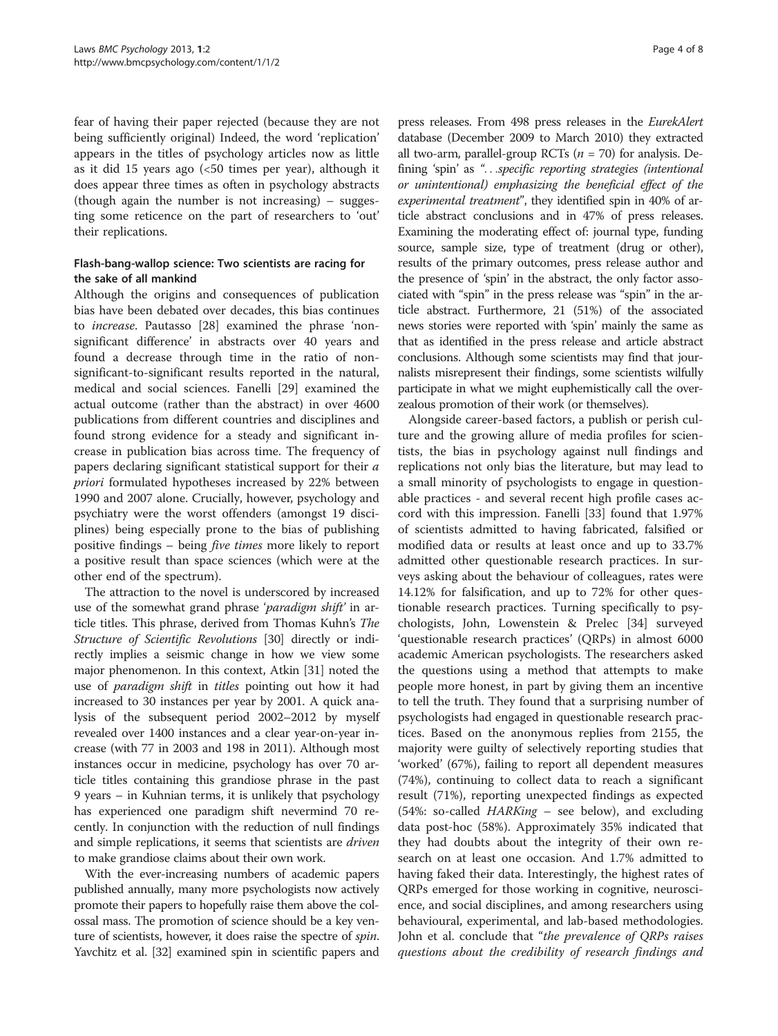fear of having their paper rejected (because they are not being sufficiently original) Indeed, the word 'replication' appears in the titles of psychology articles now as little as it did 15 years ago (<50 times per year), although it does appear three times as often in psychology abstracts (though again the number is not increasing) – suggesting some reticence on the part of researchers to 'out' their replications.

## Flash-bang-wallop science: Two scientists are racing for the sake of all mankind

Although the origins and consequences of publication bias have been debated over decades, this bias continues to increase. Pautasso [\[28\]](#page-7-0) examined the phrase 'nonsignificant difference' in abstracts over 40 years and found a decrease through time in the ratio of nonsignificant-to-significant results reported in the natural, medical and social sciences. Fanelli [[29](#page-7-0)] examined the actual outcome (rather than the abstract) in over 4600 publications from different countries and disciplines and found strong evidence for a steady and significant increase in publication bias across time. The frequency of papers declaring significant statistical support for their a priori formulated hypotheses increased by 22% between 1990 and 2007 alone. Crucially, however, psychology and psychiatry were the worst offenders (amongst 19 disciplines) being especially prone to the bias of publishing positive findings – being five times more likely to report a positive result than space sciences (which were at the other end of the spectrum).

The attraction to the novel is underscored by increased use of the somewhat grand phrase 'paradigm shift' in article titles. This phrase, derived from Thomas Kuhn's The Structure of Scientific Revolutions [\[30\]](#page-7-0) directly or indirectly implies a seismic change in how we view some major phenomenon. In this context, Atkin [[31](#page-7-0)] noted the use of *paradigm shift* in *titles* pointing out how it had increased to 30 instances per year by 2001. A quick analysis of the subsequent period 2002–2012 by myself revealed over 1400 instances and a clear year-on-year increase (with 77 in 2003 and 198 in 2011). Although most instances occur in medicine, psychology has over 70 article titles containing this grandiose phrase in the past 9 years – in Kuhnian terms, it is unlikely that psychology has experienced one paradigm shift nevermind 70 recently. In conjunction with the reduction of null findings and simple replications, it seems that scientists are *driven* to make grandiose claims about their own work.

With the ever-increasing numbers of academic papers published annually, many more psychologists now actively promote their papers to hopefully raise them above the colossal mass. The promotion of science should be a key venture of scientists, however, it does raise the spectre of *spin*. Yavchitz et al. [\[32\]](#page-7-0) examined spin in scientific papers and

press releases. From 498 press releases in the EurekAlert database (December 2009 to March 2010) they extracted all two-arm, parallel-group RCTs ( $n = 70$ ) for analysis. Defining 'spin' as "...specific reporting strategies (intentional or unintentional) emphasizing the beneficial effect of the experimental treatment", they identified spin in 40% of article abstract conclusions and in 47% of press releases. Examining the moderating effect of: journal type, funding source, sample size, type of treatment (drug or other), results of the primary outcomes, press release author and the presence of 'spin' in the abstract, the only factor associated with "spin" in the press release was "spin" in the article abstract. Furthermore, 21 (51%) of the associated news stories were reported with 'spin' mainly the same as that as identified in the press release and article abstract conclusions. Although some scientists may find that journalists misrepresent their findings, some scientists wilfully participate in what we might euphemistically call the overzealous promotion of their work (or themselves).

Alongside career-based factors, a publish or perish culture and the growing allure of media profiles for scientists, the bias in psychology against null findings and replications not only bias the literature, but may lead to a small minority of psychologists to engage in questionable practices - and several recent high profile cases accord with this impression. Fanelli [[33\]](#page-7-0) found that 1.97% of scientists admitted to having fabricated, falsified or modified data or results at least once and up to 33.7% admitted other questionable research practices. In surveys asking about the behaviour of colleagues, rates were 14.12% for falsification, and up to 72% for other questionable research practices. Turning specifically to psychologists, John, Lowenstein & Prelec [\[34\]](#page-7-0) surveyed 'questionable research practices' (QRPs) in almost 6000 academic American psychologists. The researchers asked the questions using a method that attempts to make people more honest, in part by giving them an incentive to tell the truth. They found that a surprising number of psychologists had engaged in questionable research practices. Based on the anonymous replies from 2155, the majority were guilty of selectively reporting studies that 'worked' (67%), failing to report all dependent measures (74%), continuing to collect data to reach a significant result (71%), reporting unexpected findings as expected  $(54\%; so-called *HARKing* – see below), and excluding$ data post-hoc (58%). Approximately 35% indicated that they had doubts about the integrity of their own research on at least one occasion. And 1.7% admitted to having faked their data. Interestingly, the highest rates of QRPs emerged for those working in cognitive, neuroscience, and social disciplines, and among researchers using behavioural, experimental, and lab-based methodologies. John et al. conclude that "the prevalence of QRPs raises questions about the credibility of research findings and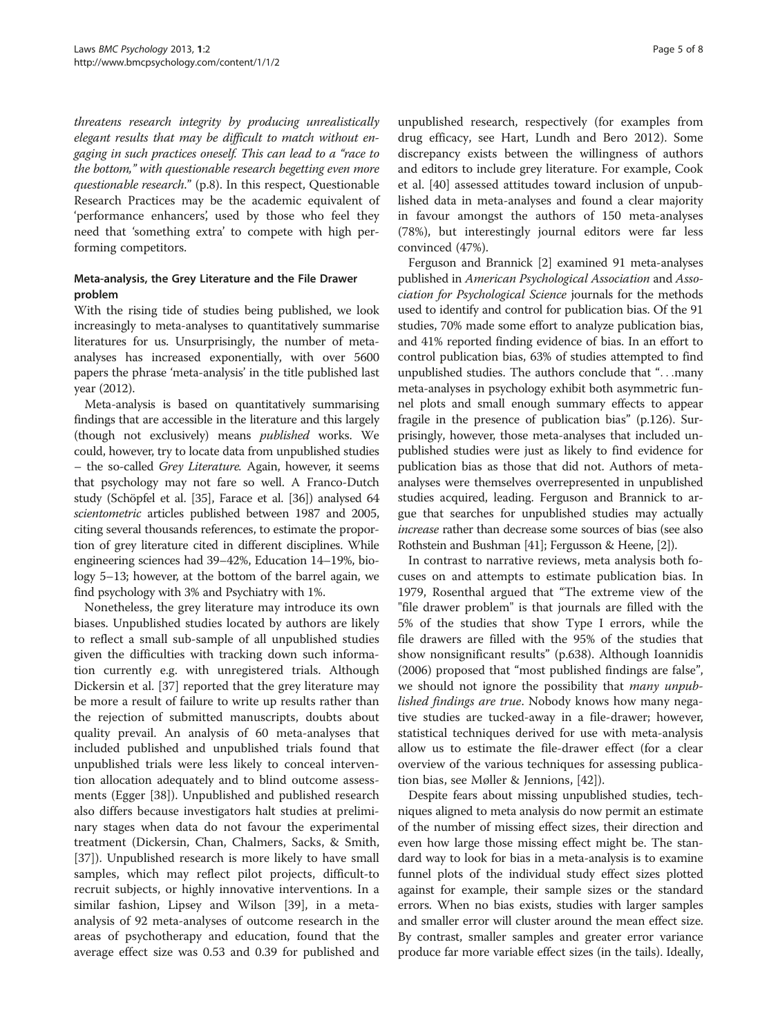threatens research integrity by producing unrealistically elegant results that may be difficult to match without engaging in such practices oneself. This can lead to a "race to the bottom," with questionable research begetting even more questionable research." (p.8). In this respect, Questionable Research Practices may be the academic equivalent of 'performance enhancers', used by those who feel they need that 'something extra' to compete with high performing competitors.

## Meta-analysis, the Grey Literature and the File Drawer problem

With the rising tide of studies being published, we look increasingly to meta-analyses to quantitatively summarise literatures for us. Unsurprisingly, the number of metaanalyses has increased exponentially, with over 5600 papers the phrase 'meta-analysis' in the title published last year (2012).

Meta-analysis is based on quantitatively summarising findings that are accessible in the literature and this largely (though not exclusively) means published works. We could, however, try to locate data from unpublished studies – the so-called Grey Literature. Again, however, it seems that psychology may not fare so well. A Franco-Dutch study (Schöpfel et al. [\[35\]](#page-7-0), Farace et al. [\[36\]](#page-7-0)) analysed 64 scientometric articles published between 1987 and 2005, citing several thousands references, to estimate the proportion of grey literature cited in different disciplines. While engineering sciences had 39–42%, Education 14–19%, biology 5–13; however, at the bottom of the barrel again, we find psychology with 3% and Psychiatry with 1%.

Nonetheless, the grey literature may introduce its own biases. Unpublished studies located by authors are likely to reflect a small sub-sample of all unpublished studies given the difficulties with tracking down such information currently e.g. with unregistered trials. Although Dickersin et al. [\[37](#page-7-0)] reported that the grey literature may be more a result of failure to write up results rather than the rejection of submitted manuscripts, doubts about quality prevail. An analysis of 60 meta-analyses that included published and unpublished trials found that unpublished trials were less likely to conceal intervention allocation adequately and to blind outcome assessments (Egger [[38\]](#page-7-0)). Unpublished and published research also differs because investigators halt studies at preliminary stages when data do not favour the experimental treatment (Dickersin, Chan, Chalmers, Sacks, & Smith, [[37\]](#page-7-0)). Unpublished research is more likely to have small samples, which may reflect pilot projects, difficult-to recruit subjects, or highly innovative interventions. In a similar fashion, Lipsey and Wilson [[39](#page-7-0)], in a metaanalysis of 92 meta-analyses of outcome research in the areas of psychotherapy and education, found that the average effect size was 0.53 and 0.39 for published and

unpublished research, respectively (for examples from drug efficacy, see Hart, Lundh and Bero 2012). Some discrepancy exists between the willingness of authors and editors to include grey literature. For example, Cook et al. [[40\]](#page-7-0) assessed attitudes toward inclusion of unpublished data in meta-analyses and found a clear majority in favour amongst the authors of 150 meta-analyses (78%), but interestingly journal editors were far less convinced (47%).

Ferguson and Brannick [\[2\]](#page-6-0) examined 91 meta-analyses published in American Psychological Association and Association for Psychological Science journals for the methods used to identify and control for publication bias. Of the 91 studies, 70% made some effort to analyze publication bias, and 41% reported finding evidence of bias. In an effort to control publication bias, 63% of studies attempted to find unpublished studies. The authors conclude that "...many meta-analyses in psychology exhibit both asymmetric funnel plots and small enough summary effects to appear fragile in the presence of publication bias" (p.126). Surprisingly, however, those meta-analyses that included unpublished studies were just as likely to find evidence for publication bias as those that did not. Authors of metaanalyses were themselves overrepresented in unpublished studies acquired, leading. Ferguson and Brannick to argue that searches for unpublished studies may actually increase rather than decrease some sources of bias (see also Rothstein and Bushman [\[41\]](#page-7-0); Fergusson & Heene, [\[2\]](#page-6-0)).

In contrast to narrative reviews, meta analysis both focuses on and attempts to estimate publication bias. In 1979, Rosenthal argued that "The extreme view of the "file drawer problem" is that journals are filled with the 5% of the studies that show Type I errors, while the file drawers are filled with the 95% of the studies that show nonsignificant results" (p.638). Although Ioannidis (2006) proposed that "most published findings are false", we should not ignore the possibility that *many unpub*lished findings are true. Nobody knows how many negative studies are tucked-away in a file-drawer; however, statistical techniques derived for use with meta-analysis allow us to estimate the file-drawer effect (for a clear overview of the various techniques for assessing publication bias, see Møller & Jennions, [[42\]](#page-7-0)).

Despite fears about missing unpublished studies, techniques aligned to meta analysis do now permit an estimate of the number of missing effect sizes, their direction and even how large those missing effect might be. The standard way to look for bias in a meta-analysis is to examine funnel plots of the individual study effect sizes plotted against for example, their sample sizes or the standard errors. When no bias exists, studies with larger samples and smaller error will cluster around the mean effect size. By contrast, smaller samples and greater error variance produce far more variable effect sizes (in the tails). Ideally,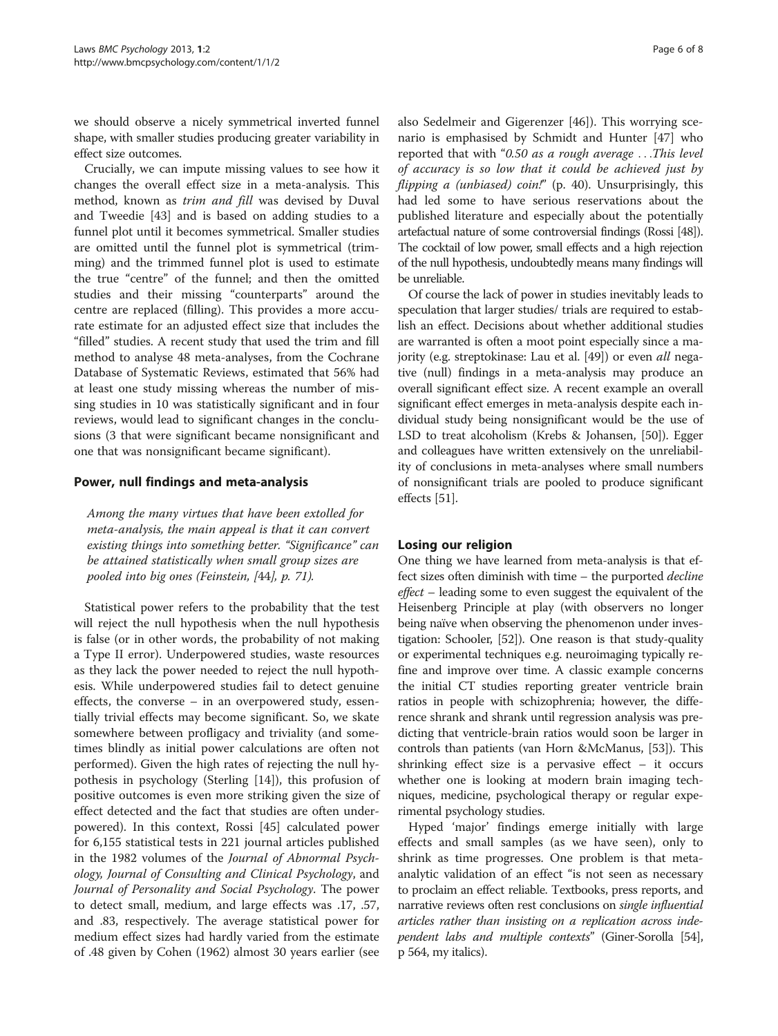we should observe a nicely symmetrical inverted funnel shape, with smaller studies producing greater variability in effect size outcomes.

Crucially, we can impute missing values to see how it changes the overall effect size in a meta-analysis. This method, known as trim and fill was devised by Duval and Tweedie [\[43](#page-7-0)] and is based on adding studies to a funnel plot until it becomes symmetrical. Smaller studies are omitted until the funnel plot is symmetrical (trimming) and the trimmed funnel plot is used to estimate the true "centre" of the funnel; and then the omitted studies and their missing "counterparts" around the centre are replaced (filling). This provides a more accurate estimate for an adjusted effect size that includes the "filled" studies. A recent study that used the trim and fill method to analyse 48 meta-analyses, from the Cochrane Database of Systematic Reviews, estimated that 56% had at least one study missing whereas the number of missing studies in 10 was statistically significant and in four reviews, would lead to significant changes in the conclusions (3 that were significant became nonsignificant and one that was nonsignificant became significant).

### Power, null findings and meta-analysis

Among the many virtues that have been extolled for meta-analysis, the main appeal is that it can convert existing things into something better. "Significance" can be attained statistically when small group sizes are pooled into big ones (Feinstein, [[44](#page-7-0)], p. 71).

Statistical power refers to the probability that the test will reject the null hypothesis when the null hypothesis is false (or in other words, the probability of not making a Type II error). Underpowered studies, waste resources as they lack the power needed to reject the null hypothesis. While underpowered studies fail to detect genuine effects, the converse – in an overpowered study, essentially trivial effects may become significant. So, we skate somewhere between profligacy and triviality (and sometimes blindly as initial power calculations are often not performed). Given the high rates of rejecting the null hypothesis in psychology (Sterling [[14\]](#page-7-0)), this profusion of positive outcomes is even more striking given the size of effect detected and the fact that studies are often underpowered). In this context, Rossi [[45\]](#page-7-0) calculated power for 6,155 statistical tests in 221 journal articles published in the 1982 volumes of the Journal of Abnormal Psychology, Journal of Consulting and Clinical Psychology, and Journal of Personality and Social Psychology. The power to detect small, medium, and large effects was .17, .57, and .83, respectively. The average statistical power for medium effect sizes had hardly varied from the estimate of .48 given by Cohen (1962) almost 30 years earlier (see

also Sedelmeir and Gigerenzer [[46](#page-7-0)]). This worrying scenario is emphasised by Schmidt and Hunter [[47](#page-7-0)] who reported that with "0.50 as a rough average ...This level of accuracy is so low that it could be achieved just by flipping a (unbiased) coin!" (p. 40). Unsurprisingly, this had led some to have serious reservations about the published literature and especially about the potentially artefactual nature of some controversial findings (Rossi [\[48\]](#page-7-0)). The cocktail of low power, small effects and a high rejection of the null hypothesis, undoubtedly means many findings will be unreliable.

Of course the lack of power in studies inevitably leads to speculation that larger studies/ trials are required to establish an effect. Decisions about whether additional studies are warranted is often a moot point especially since a ma-jority (e.g. streptokinase: Lau et al. [\[49\]](#page-7-0)) or even *all* negative (null) findings in a meta-analysis may produce an overall significant effect size. A recent example an overall significant effect emerges in meta-analysis despite each individual study being nonsignificant would be the use of LSD to treat alcoholism (Krebs & Johansen, [\[50\]](#page-7-0)). Egger and colleagues have written extensively on the unreliability of conclusions in meta-analyses where small numbers of nonsignificant trials are pooled to produce significant effects [[51\]](#page-7-0).

## Losing our religion

One thing we have learned from meta-analysis is that effect sizes often diminish with time – the purported decline effect – leading some to even suggest the equivalent of the Heisenberg Principle at play (with observers no longer being naïve when observing the phenomenon under investigation: Schooler, [\[52\]](#page-7-0)). One reason is that study-quality or experimental techniques e.g. neuroimaging typically refine and improve over time. A classic example concerns the initial CT studies reporting greater ventricle brain ratios in people with schizophrenia; however, the difference shrank and shrank until regression analysis was predicting that ventricle-brain ratios would soon be larger in controls than patients (van Horn &McManus, [\[53](#page-7-0)]). This shrinking effect size is a pervasive effect – it occurs whether one is looking at modern brain imaging techniques, medicine, psychological therapy or regular experimental psychology studies.

Hyped 'major' findings emerge initially with large effects and small samples (as we have seen), only to shrink as time progresses. One problem is that metaanalytic validation of an effect "is not seen as necessary to proclaim an effect reliable. Textbooks, press reports, and narrative reviews often rest conclusions on *single influential* articles rather than insisting on a replication across independent labs and multiple contexts" (Giner-Sorolla [\[54](#page-7-0)], p 564, my italics).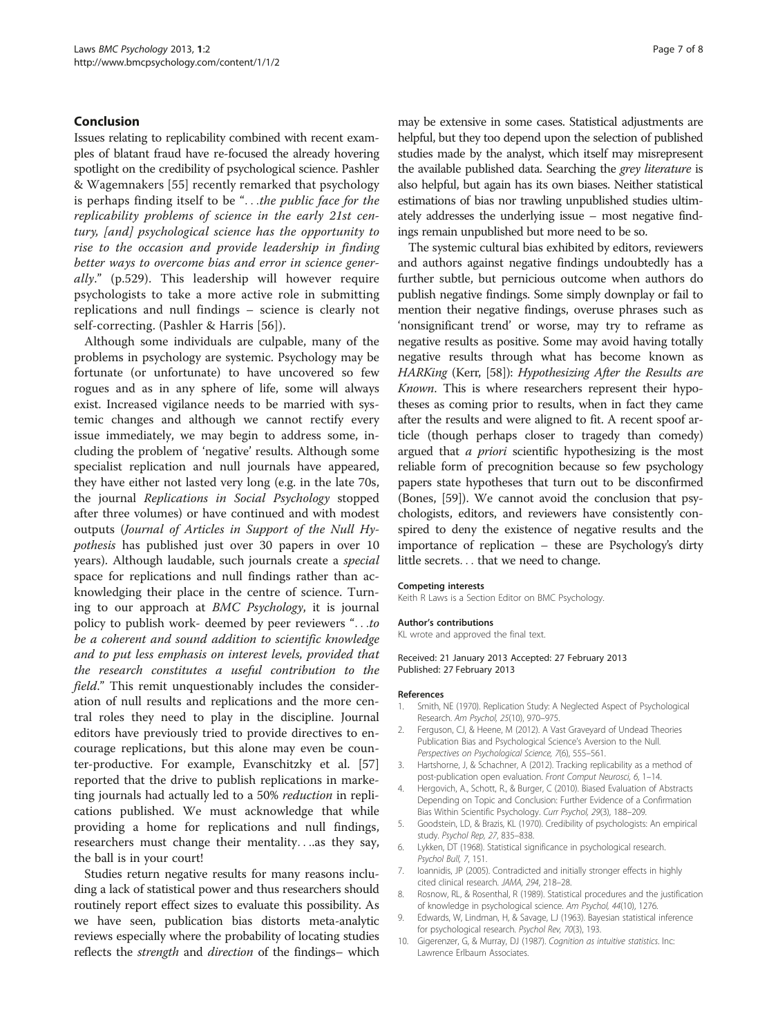#### <span id="page-6-0"></span>Conclusion

Issues relating to replicability combined with recent examples of blatant fraud have re-focused the already hovering spotlight on the credibility of psychological science. Pashler & Wagemnakers [[55\]](#page-7-0) recently remarked that psychology is perhaps finding itself to be "...the public face for the replicability problems of science in the early 21st century, [and] psychological science has the opportunity to rise to the occasion and provide leadership in finding better ways to overcome bias and error in science gener $ally."$  (p.529). This leadership will however require psychologists to take a more active role in submitting replications and null findings – science is clearly not self-correcting. (Pashler & Harris [[56](#page-7-0)]).

Although some individuals are culpable, many of the problems in psychology are systemic. Psychology may be fortunate (or unfortunate) to have uncovered so few rogues and as in any sphere of life, some will always exist. Increased vigilance needs to be married with systemic changes and although we cannot rectify every issue immediately, we may begin to address some, including the problem of 'negative' results. Although some specialist replication and null journals have appeared, they have either not lasted very long (e.g. in the late 70s, the journal Replications in Social Psychology stopped after three volumes) or have continued and with modest outputs (Journal of Articles in Support of the Null Hypothesis has published just over 30 papers in over 10 years). Although laudable, such journals create a special space for replications and null findings rather than acknowledging their place in the centre of science. Turning to our approach at BMC Psychology, it is journal policy to publish work- deemed by peer reviewers "...to be a coherent and sound addition to scientific knowledge and to put less emphasis on interest levels, provided that the research constitutes a useful contribution to the field." This remit unquestionably includes the consideration of null results and replications and the more central roles they need to play in the discipline. Journal editors have previously tried to provide directives to encourage replications, but this alone may even be counter-productive. For example, Evanschitzky et al. [[57](#page-7-0)] reported that the drive to publish replications in marketing journals had actually led to a 50% reduction in replications published. We must acknowledge that while providing a home for replications and null findings, researchers must change their mentality....as they say, the ball is in your court!

Studies return negative results for many reasons including a lack of statistical power and thus researchers should routinely report effect sizes to evaluate this possibility. As we have seen, publication bias distorts meta-analytic reviews especially where the probability of locating studies reflects the strength and direction of the findings– which may be extensive in some cases. Statistical adjustments are helpful, but they too depend upon the selection of published studies made by the analyst, which itself may misrepresent the available published data. Searching the grey literature is also helpful, but again has its own biases. Neither statistical estimations of bias nor trawling unpublished studies ultimately addresses the underlying issue – most negative findings remain unpublished but more need to be so.

The systemic cultural bias exhibited by editors, reviewers and authors against negative findings undoubtedly has a further subtle, but pernicious outcome when authors do publish negative findings. Some simply downplay or fail to mention their negative findings, overuse phrases such as 'nonsignificant trend' or worse, may try to reframe as negative results as positive. Some may avoid having totally negative results through what has become known as HARKing (Kerr, [\[58\]](#page-7-0)): Hypothesizing After the Results are Known. This is where researchers represent their hypotheses as coming prior to results, when in fact they came after the results and were aligned to fit. A recent spoof article (though perhaps closer to tragedy than comedy) argued that *a priori* scientific hypothesizing is the most reliable form of precognition because so few psychology papers state hypotheses that turn out to be disconfirmed (Bones, [\[59\]](#page-7-0)). We cannot avoid the conclusion that psychologists, editors, and reviewers have consistently conspired to deny the existence of negative results and the importance of replication – these are Psychology's dirty little secrets... that we need to change.

#### Competing interests

Keith R Laws is a Section Editor on BMC Psychology.

#### Author's contributions

KL wrote and approved the final text.

#### Received: 21 January 2013 Accepted: 27 February 2013 Published: 27 February 2013

#### References

- 1. Smith, NE (1970). Replication Study: A Neglected Aspect of Psychological Research. Am Psychol, 25(10), 970–975.
- 2. Ferguson, CJ, & Heene, M (2012). A Vast Graveyard of Undead Theories Publication Bias and Psychological Science's Aversion to the Null. Perspectives on Psychological Science, 7(6), 555–561.
- 3. Hartshorne, J, & Schachner, A (2012). Tracking replicability as a method of post-publication open evaluation. Front Comput Neurosci, 6, 1–14.
- 4. Hergovich, A., Schott, R., & Burger, C (2010). Biased Evaluation of Abstracts Depending on Topic and Conclusion: Further Evidence of a Confirmation Bias Within Scientific Psychology. Curr Psychol, 29(3), 188–209.
- 5. Goodstein, LD, & Brazis, KL (1970). Credibility of psychologists: An empirical study. Psychol Rep, 27, 835–838.
- 6. Lykken, DT (1968). Statistical significance in psychological research. Psychol Bull, 7, 151.
- 7. Ioannidis, JP (2005). Contradicted and initially stronger effects in highly cited clinical research. JAMA, 294, 218–28.
- 8. Rosnow, RL, & Rosenthal, R (1989). Statistical procedures and the justification of knowledge in psychological science. Am Psychol, 44(10), 1276.
- 9. Edwards, W, Lindman, H, & Savage, LJ (1963). Bayesian statistical inference for psychological research. Psychol Rev, 70(3), 193.
- 10. Gigerenzer, G, & Murray, DJ (1987). Cognition as intuitive statistics. Inc: Lawrence Erlbaum Associates.